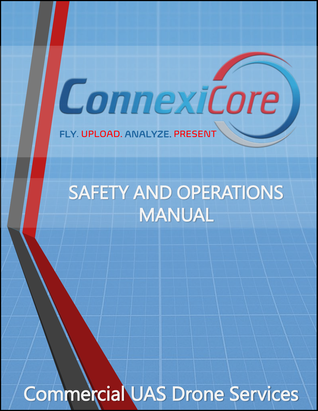FLY. UPLOAD. ANALYZE. PRESENT

# SAFETY AND OPERATIONS MANUAL

ConnexiCore

Commercial UAS Drone Services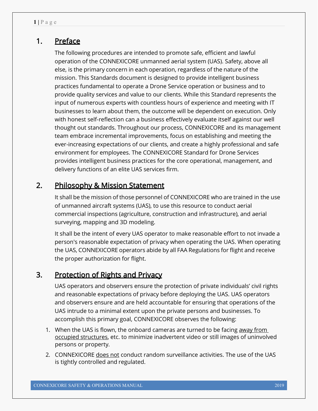# 1. Preface

The following procedures are intended to promote safe, efficient and lawful operation of the CONNEXICORE unmanned aerial system (UAS). Safety, above all else, is the primary concern in each operation, regardless of the nature of the mission. This Standards document is designed to provide intelligent business practices fundamental to operate a Drone Service operation or business and to provide quality services and value to our clients. While this Standard represents the input of numerous experts with countless hours of experience and meeting with IT businesses to learn about them, the outcome will be dependent on execution. Only with honest self-reflection can a business effectively evaluate itself against our well thought out standards. Throughout our process, CONNEXICORE and its management team embrace incremental improvements, focus on establishing and meeting the ever-increasing expectations of our clients, and create a highly professional and safe environment for employees. The CONNEXICORE Standard for Drone Services provides intelligent business practices for the core operational, management, and delivery functions of an elite UAS services firm.

# 2. Philosophy & Mission Statement

It shall be the mission of those personnel of CONNEXICORE who are trained in the use of unmanned aircraft systems (UAS), to use this resource to conduct aerial commercial inspections (agriculture, construction and infrastructure), and aerial surveying, mapping and 3D modeling.

It shall be the intent of every UAS operator to make reasonable effort to not invade a person's reasonable expectation of privacy when operating the UAS. When operating the UAS, CONNEXICORE operators abide by all FAA Regulations for flight and receive the proper authorization for flight.

# 3. Protection of Rights and Privacy

UAS operators and observers ensure the protection of private individuals' civil rights and reasonable expectations of privacy before deploying the UAS. UAS operators and observers ensure and are held accountable for ensuring that operations of the UAS intrude to a minimal extent upon the private persons and businesses. To accomplish this primary goal, CONNEXICORE observes the following:

- 1. When the UAS is flown, the onboard cameras are turned to be facing away from occupied structures, etc. to minimize inadvertent video or still images of uninvolved persons or property.
- 2. CONNEXICORE does not conduct random surveillance activities. The use of the UAS is tightly controlled and regulated.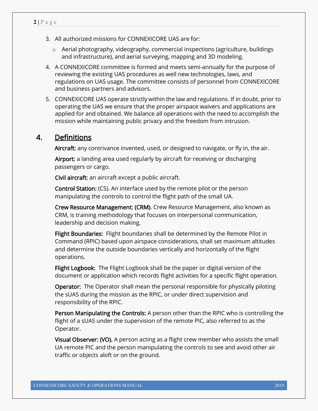- 3. All authorized missions for CONNEXICORE UAS are for:
	- $\circ$  Aerial photography, videography, commercial inspections (agriculture, buildings) and infrastructure), and aerial surveying, mapping and 3D modeling.
- 4. A CONNEXICORE committee is formed and meets semi-annually for the purpose of reviewing the existing UAS procedures as well new technologies, laws, and regulations on UAS usage. The committee consists of personnel from CONNEXICORE and business partners and advisors.
- 5. CONNEXICORE UAS operate strictly within the law and regulations. If in doubt, prior to operating the UAS we ensure that the proper airspace waivers and applications are applied for and obtained. We balance all operations with the need to accomplish the mission while maintaining public privacy and the freedom from intrusion.

# 4. Definitions

Aircraft: any contrivance invented, used, or designed to navigate, or fly in, the air.

 Airport: a landing area used regularly by aircraft for receiving or discharging passengers or cargo.

Civil aircraft: an aircraft except a public aircraft.

Control Station: (CS). An interface used by the remote pilot or the person manipulating the controls to control the flight path of the small UA.

Crew Resource Management: (CRM). Crew Resource Management, also known as CRM, is training methodology that focuses on interpersonal communication, leadership and decision making.

Flight Boundaries: Flight boundaries shall be determined by the Remote Pilot in Command (RPIC) based upon airspace considerations, shall set maximum altitudes and determine the outside boundaries vertically and horizontally of the flight operations.

Flight Logbook: The Flight Logbook shall be the paper or digital version of the document or application which records flight activities for a specific flight operation.

Operator: The Operator shall mean the personal responsible for physically piloting the sUAS during the mission as the RPIC, or under direct supervision and responsibility of the RPIC.

Person Manipulating the Controls: A person other than the RPIC who is controlling the flight of a sUAS under the supervision of the remote PIC, also referred to as the Operator.

Visual Observer: (VO). A person acting as a flight crew member who assists the small UA remote PIC and the person manipulating the controls to see and avoid other air traffic or objects aloft or on the ground.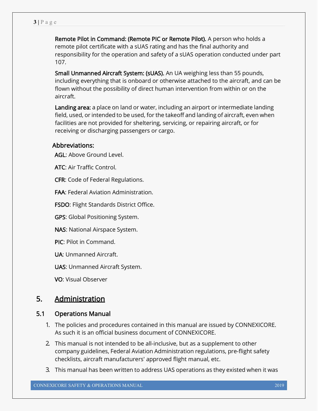Remote Pilot in Command: (Remote PIC or Remote Pilot). A person who holds a remote pilot certificate with a sUAS rating and has the final authority and responsibility for the operation and safety of a sUAS operation conducted under part 107.

Small Unmanned Aircraft System: (sUAS). An UA weighing less than 55 pounds, including everything that is onboard or otherwise attached to the aircraft, and can be flown without the possibility of direct human intervention from within or on the aircraft.

Landing area: a place on land or water, including an airport or intermediate landing field, used, or intended to be used, for the takeoff and landing of aircraft, even when facilities are not provided for sheltering, servicing, or repairing aircraft, or for receiving or discharging passengers or cargo.

## Abbreviations:

AGL: Above Ground Level.

ATC: Air Traffic Control.

CFR: Code of Federal Regulations.

FAA: Federal Aviation Administration.

FSDO: Flight Standards District Office.

GPS: Global Positioning System.

NAS: National Airspace System.

PIC: Pilot in Command.

UA: Unmanned Aircraft.

UAS: Unmanned Aircraft System.

VO: Visual Observer

# 5. Administration

## 5.1 Operations Manual

- 1. The policies and procedures contained in this manual are issued by CONNEXICORE. As such it is an official business document of CONNEXICORE.
- 2. This manual is not intended to be all-inclusive, but as a supplement to other company guidelines, Federal Aviation Administration regulations, pre-flight safety checklists, aircraft manufacturers' approved flight manual, etc.
- 3. This manual has been written to address UAS operations as they existed when it was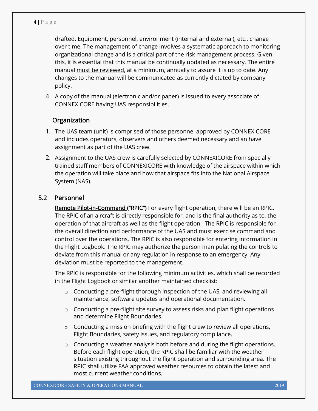drafted. Equipment, personnel, environment (internal and external), etc., change over time. The management of change involves a systematic approach to monitoring organizational change and is a critical part of the risk management process. Given this, it is essential that this manual be continually updated as necessary. The entire manual must be reviewed, at a minimum, annually to assure it is up to date. Any changes to the manual will be communicated as currently dictated by company policy.

4. A copy of the manual (electronic and/or paper) is issued to every associate of CONNEXICORE having UAS responsibilities.

## **Organization**

- 1. The UAS team (unit) is comprised of those personnel approved by CONNEXICORE and includes operators, observers and others deemed necessary and an have assignment as part of the UAS crew.
- 2. Assignment to the UAS crew is carefully selected by CONNEXICORE from specially trained staff members of CONNEXICORE with knowledge of the airspace within which the operation will take place and how that airspace fits into the National Airspace System (NAS).

## 5.2 Personnel

Remote Pilot-in-Command ("RPIC") For every flight operation, there will be an RPIC. The RPIC of an aircraft is directly responsible for, and is the final authority as to, the operation of that aircraft as well as the flight operation. The RPIC is responsible for the overall direction and performance of the UAS and must exercise command and control over the operations. The RPIC is also responsible for entering information in the Flight Logbook. The RPIC may authorize the person manipulating the controls to deviate from this manual or any regulation in response to an emergency. Any deviation must be reported to the management.

The RPIC is responsible for the following minimum activities, which shall be recorded in the Flight Logbook or similar another maintained checklist:

- $\circ$  Conducting a pre-flight thorough inspection of the UAS, and reviewing all maintenance, software updates and operational documentation.
- $\circ$  Conducting a pre-flight site survey to assess risks and plan flight operations and determine Flight Boundaries.
- $\circ$  Conducting a mission briefing with the flight crew to review all operations, Flight Boundaries, safety issues, and regulatory compliance.
- o Conducting a weather analysis both before and during the flight operations. Before each flight operation, the RPIC shall be familiar with the weather situation existing throughout the flight operation and surrounding area. The RPIC shall utilize FAA approved weather resources to obtain the latest and most current weather conditions.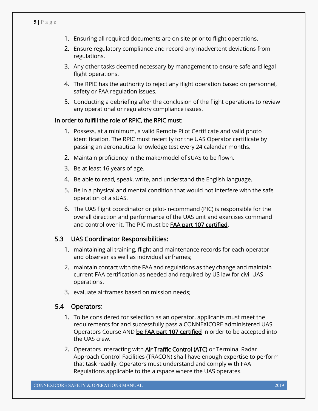- 1. Ensuring all required documents are on site prior to flight operations.
- 2. Ensure regulatory compliance and record any inadvertent deviations from regulations.
- 3. Any other tasks deemed necessary by management to ensure safe and legal flight operations.
- 4. The RPIC has the authority to reject any flight operation based on personnel, safety or FAA regulation issues.
- 5. Conducting a debriefing after the conclusion of the flight operations to review any operational or regulatory compliance issues.

## In order to fulfill the role of RPIC, the RPIC must:

- 1. Possess, at a minimum, a valid Remote Pilot Certificate and valid photo identification. The RPIC must recertify for the UAS Operator certificate by passing an aeronautical knowledge test every 24 calendar months.
- 2. Maintain proficiency in the make/model of sUAS to be flown.
- 3. Be at least 16 years of age.
- 4. Be able to read, speak, write, and understand the English language.
- 5. Be in a physical and mental condition that would not interfere with the safe operation of a sUAS.
- 6. The UAS flight coordinator or pilot-in-command (PIC) is responsible for the overall direction and performance of the UAS unit and exercises command and control over it. The PIC must be **FAA part 107 certified**.

#### 5.3 UAS Coordinator Responsibilities:

- 1. maintaining all training, flight and maintenance records for each operator and observer as well as individual airframes;
- 2. maintain contact with the FAA and regulations as they change and maintain current FAA certification as needed and required by US law for civil UAS operations.
- 3. evaluate airframes based on mission needs;

#### 5.4 Operators:

- 1. To be considered for selection as an operator, applicants must meet the requirements for and successfully pass a CONNEXICORE administered UAS Operators Course AND be FAA part 107 certified in order to be accepted into the UAS crew.
- 2. Operators interacting with Air Traffic Control (ATC) or Terminal Radar Approach Control Facilities (TRACON) shall have enough expertise to perform that task readily. Operators must understand and comply with FAA Regulations applicable to the airspace where the UAS operates.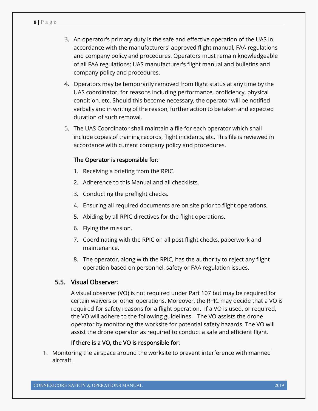- 3. An operator's primary duty is the safe and effective operation of the UAS in accordance with the manufacturers' approved flight manual, FAA regulations and company policy and procedures. Operators must remain knowledgeable of all FAA regulations; UAS manufacturer's flight manual and bulletins and company policy and procedures.
- 4. Operators may be temporarily removed from flight status at any time by the UAS coordinator, for reasons including performance, proficiency, physical condition, etc. Should this become necessary, the operator will be notified verbally and in writing of the reason, further action to be taken and expected duration of such removal.
- 5. The UAS Coordinator shall maintain a file for each operator which shall include copies of training records, flight incidents, etc. This file is reviewed in accordance with current company policy and procedures.

#### The Operator is responsible for:

- 1. Receiving a briefing from the RPIC.
- 2. Adherence to this Manual and all checklists.
- 3. Conducting the preflight checks.
- 4. Ensuring all required documents are on site prior to flight operations.
- 5. Abiding by all RPIC directives for the flight operations.
- 6. Flying the mission.
- 7. Coordinating with the RPIC on all post flight checks, paperwork and maintenance.
- 8. The operator, along with the RPIC, has the authority to reject any flight operation based on personnel, safety or FAA regulation issues.

#### 5.5. Visual Observer:

A visual observer (VO) is not required under Part 107 but may be required for certain waivers or other operations. Moreover, the RPIC may decide that a VO is required for safety reasons for a flight operation. If a VO is used, or required, the VO will adhere to the following guidelines. The VO assists the drone operator by monitoring the worksite for potential safety hazards. The VO will assist the drone operator as required to conduct a safe and efficient flight.

#### If there is a VO, the VO is responsible for:

1. Monitoring the airspace around the worksite to prevent interference with manned aircraft.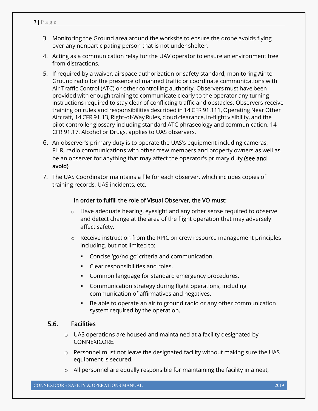- 3. Monitoring the Ground area around the worksite to ensure the drone avoids flying over any nonparticipating person that is not under shelter.
- 4. Acting as a communication relay for the UAV operator to ensure an environment free from distractions.
- 5. If required by a waiver, airspace authorization or safety standard, monitoring Air to Ground radio for the presence of manned traffic or coordinate communications with Air Traffic Control (ATC) or other controlling authority. Observers must have been provided with enough training to communicate clearly to the operator any turning instructions required to stay clear of conflicting traffic and obstacles. Observers receive training on rules and responsibilities described in 14 CFR 91.111, Operating Near Other Aircraft, 14 CFR 91.13, Right-of-Way Rules, cloud clearance, in-flight visibility, and the pilot controller glossary including standard ATC phraseology and communication. 14 CFR 91.17, Alcohol or Drugs, applies to UAS observers.
- 6. An observer's primary duty is to operate the UAS's equipment including cameras, FLIR, radio communications with other crew members and property owners as well as be an observer for anything that may affect the operator's primary duty (see and avoid)
- 7. The UAS Coordinator maintains a file for each observer, which includes copies of training records, UAS incidents, etc.

## In order to fulfill the role of Visual Observer, the VO must:

- o Have adequate hearing, eyesight and any other sense required to observe and detect change at the area of the flight operation that may adversely affect safety.
- o Receive instruction from the RPIC on crew resource management principles including, but not limited to:
	- **Concise 'go/no go' criteria and communication.**
	- **Clear responsibilities and roles.**
	- Common language for standard emergency procedures.
	- Communication strategy during flight operations, including communication of affirmatives and negatives.
	- Be able to operate an air to ground radio or any other communication system required by the operation.

## 5.6. Facilities

- o UAS operations are housed and maintained at a facility designated by CONNEXICORE.
- $\circ$  Personnel must not leave the designated facility without making sure the UAS equipment is secured.
- o All personnel are equally responsible for maintaining the facility in a neat,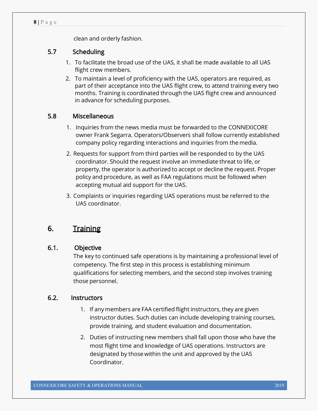clean and orderly fashion.

## 5.7 Scheduling

- 1. To facilitate the broad use of the UAS, it shall be made available to all UAS flight crew members.
- 2. To maintain a level of proficiency with the UAS, operators are required, as part of their acceptance into the UAS flight crew, to attend training every two months. Training is coordinated through the UAS flight crew and announced in advance for scheduling purposes.

## 5.8 Miscellaneous

- 1. Inquiries from the news media must be forwarded to the CONNEXICORE owner Frank Segarra. Operators/Observers shall follow currently established company policy regarding interactions and inquiries from the media.
- 2. Requests for support from third parties will be responded to by the UAS coordinator. Should the request involve an immediate threat to life, or property, the operator is authorized to accept or decline the request. Proper policy and procedure, as well as FAA regulations must be followed when accepting mutual aid support for the UAS.
- 3. Complaints or inquiries regarding UAS operations must be referred to the UAS coordinator.

# 6. Training

## 6.1. Objective

The key to continued safe operations is by maintaining a professional level of competency. The first step in this process is establishing minimum qualifications for selecting members, and the second step involves training those personnel.

## 6.2. Instructors

- 1. If any members are FAA certified flight instructors, they are given instructor duties. Such duties can include developing training courses, provide training, and student evaluation and documentation.
- 2. Duties of instructing new members shall fall upon those who have the most flight time and knowledge of UAS operations. Instructors are designated by those within the unit and approved by the UAS Coordinator.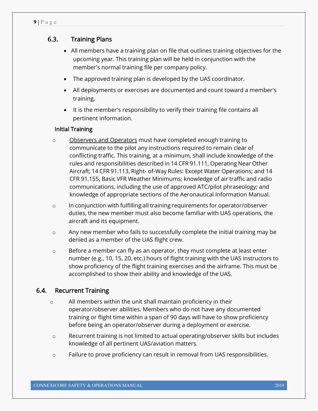## 6.3. Training Plans

- All members have a training plan on file that outlines training objectives for the upcoming year. This training plan will be held in conjunction with the member's normal training file per company policy.
- The approved training plan is developed by the UAS coordinator.
- All deployments or exercises are documented and count toward a member's training.
- It is the member's responsibility to verify their training file contains all pertinent information.

## Initial Training

- o Observers and Operators must have completed enough training to communicate to the pilot any instructions required to remain clear of conflicting traffic. This training, at a minimum, shall include knowledge of the rules and responsibilities described in 14 CFR 91.111, Operating Near Other Aircraft; 14 CFR 91.113, Right- of-Way Rules: Except Water Operations; and 14 CFR 91.155, Basic VFR Weather Minimums; knowledge of air traffic and radio communications, including the use of approved ATC/pilot phraseology; and knowledge of appropriate sections of the Aeronautical Information Manual.
- o In conjunction with fulfilling all training requirements for operator/observer duties, the new member must also become familiar with UAS operations, the aircraft and its equipment.
- o Any new member who fails to successfully complete the initial training may be denied as a member of the UAS flight crew.
- $\circ$  Before a member can fly as an operator, they must complete at least enter number (e.g., 10, 15, 20, etc.) hours of flight training with the UAS instructors to show proficiency of the flight training exercises and the airframe. This must be accomplished to show their ability and knowledge of the UAS.

## 6.4. Recurrent Training

- o All members within the unit shall maintain proficiency in their operator/observer abilities. Members who do not have any documented training or flight time within a span of 90 days will have to show proficiency before being an operator/observer during a deployment or exercise.
- o Recurrent training is not limited to actual operating/observer skills but includes knowledge of all pertinent UAS/aviation matters.
- o Failure to prove proficiency can result in removal from UAS responsibilities.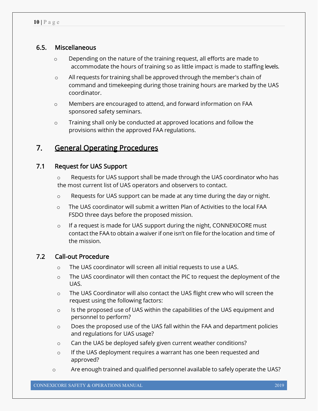## 6.5. Miscellaneous

- $\circ$  Depending on the nature of the training request, all efforts are made to accommodate the hours of training so as little impact is made to staffing levels.
- o All requests for training shall be approved through the member's chain of command and timekeeping during those training hours are marked by the UAS coordinator.
- o Members are encouraged to attend, and forward information on FAA sponsored safety seminars.
- o Training shall only be conducted at approved locations and follow the provisions within the approved FAA regulations.

# 7. General Operating Procedures

## 7.1 Request for UAS Support

 $\circ$  Requests for UAS support shall be made through the UAS coordinator who has the most current list of UAS operators and observers to contact.

- $\circ$  Requests for UAS support can be made at any time during the day or night.
- o The UAS coordinator will submit a written Plan of Activities to the local FAA FSDO three days before the proposed mission.
- $\circ$  If a request is made for UAS support during the night, CONNEXICORE must contact the FAA to obtain a waiver if one isn't on file for the location and time of the mission.

#### 7.2 Call-out Procedure

- o The UAS coordinator will screen all initial requests to use a UAS.
- o The UAS coordinator will then contact the PIC to request the deployment of the UAS.
- o The UAS Coordinator will also contact the UAS flight crew who will screen the request using the following factors:
- o Is the proposed use of UAS within the capabilities of the UAS equipment and personnel to perform?
- o Does the proposed use of the UAS fall within the FAA and department policies and regulations for UAS usage?
- o Can the UAS be deployed safely given current weather conditions?
- $\circ$  If the UAS deployment requires a warrant has one been requested and approved?
- $\circ$  Are enough trained and qualified personnel available to safely operate the UAS?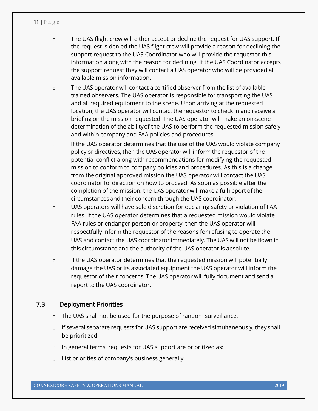- o The UAS flight crew will either accept or decline the request for UAS support. If the request is denied the UAS flight crew will provide a reason for declining the support request to the UAS Coordinator who will provide the requestor this information along with the reason for declining. If the UAS Coordinator accepts the support request they will contact a UAS operator who will be provided all available mission information.
- o The UAS operator will contact a certified observer from the list of available trained observers. The UAS operator is responsible for transporting the UAS and all required equipment to the scene. Upon arriving at the requested location, the UAS operator will contact the requestor to check in and receive a briefing on the mission requested. The UAS operator will make an on-scene determination of the abilityof the UAS to perform the requested mission safely and within company and FAA policies and procedures.
- o If the UAS operator determines that the use of the UAS would violate company policy or directives, then the UAS operator will inform the requestor of the potential conflict along with recommendations for modifying the requested mission to conform to company policies and procedures. As this is a change from the original approved mission the UAS operator will contact the UAS coordinator fordirection on how to proceed. As soon as possible after the completion of the mission, the UAS operator will make a full report ofthe circumstances and their concern through the UAS coordinator.
- o UAS operators will have sole discretion for declaring safety or violation of FAA rules. If the UAS operator determines that a requested mission would violate FAA rules or endanger person or property, then the UAS operator will respectfully inform the requestor of the reasons for refusing to operate the UAS and contact the UAS coordinator immediately. The UAS will not be flown in this circumstance and the authority of the UAS operator is absolute.
- $\circ$  If the UAS operator determines that the requested mission will potentially damage the UAS or its associated equipment the UAS operator will inform the requestor of their concerns. The UAS operator will fully document and send a report to the UAS coordinator.

## 7.3 Deployment Priorities

- o The UAS shall not be used for the purpose of random surveillance.
- o If several separate requests for UAS support are received simultaneously, they shall be prioritized.
- o In general terms, requests for UAS support are prioritized as:
- o List priorities of company's business generally.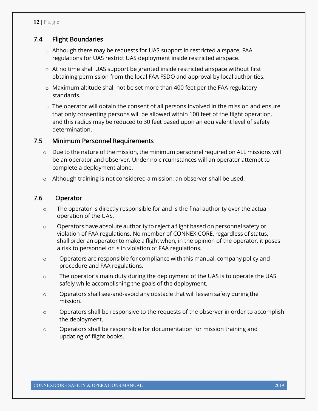## 7.4 Flight Boundaries

- o Although there may be requests for UAS support in restricted airspace, FAA regulations for UAS restrict UAS deployment inside restricted airspace.
- $\circ$  At no time shall UAS support be granted inside restricted airspace without first obtaining permission from the local FAA FSDO and approval by local authorities.
- $\circ$  Maximum altitude shall not be set more than 400 feet per the FAA regulatory standards.
- $\circ$  The operator will obtain the consent of all persons involved in the mission and ensure that only consenting persons will be allowed within 100 feet of the flight operation, and this radius may be reduced to 30 feet based upon an equivalent level of safety determination.

## 7.5 Minimum Personnel Requirements

- $\circ$  Due to the nature of the mission, the minimum personnel required on ALL missions will be an operator and observer. Under no circumstances will an operator attempt to complete a deployment alone.
- o Although training is not considered a mission, an observer shall be used.

## 7.6 Operator

- o The operator is directly responsible for and is the final authority over the actual operation of the UAS.
- $\circ$  Operators have absolute authority to reject a flight based on personnel safety or violation of FAA regulations. No member of CONNEXICORE, regardless of status, shall order an operator to make a flight when, in the opinion of the operator, it poses a risk to personnel or is in violation of FAA regulations.
- o Operators are responsible for compliance with this manual, company policy and procedure and FAA regulations.
- o The operator's main duty during the deployment of the UAS is to operate the UAS safely while accomplishing the goals of the deployment.
- o Operators shall see-and-avoid any obstacle that will lessen safety during the mission.
- o Operators shall be responsive to the requests of the observer in order to accomplish the deployment.
- o Operators shall be responsible for documentation for mission training and updating of flight books.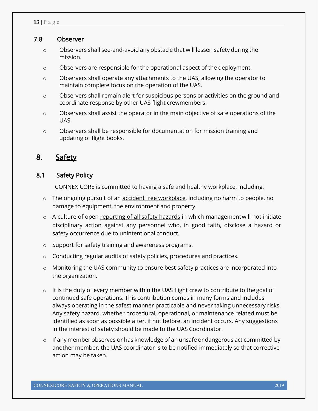#### 7.8 Observer

- o Observers shall see-and-avoid any obstacle that will lessen safety during the mission.
- o Observers are responsible for the operational aspect of the deployment.
- o Observers shall operate any attachments to the UAS, allowing the operator to maintain complete focus on the operation of the UAS.
- $\circ$  Observers shall remain alert for suspicious persons or activities on the ground and coordinate response by other UAS flight crewmembers.
- o Observers shall assist the operator in the main objective of safe operations of the UAS.
- o Observers shall be responsible for documentation for mission training and updating of flight books.

## 8. Safety

## 8.1 Safety Policy

CONNEXICORE is committed to having a safe and healthy workplace, including:

- o The ongoing pursuit of an accident free workplace, including no harm to people, no damage to equipment, the environment and property.
- o A culture of open reporting of all safety hazards in which management will not initiate disciplinary action against any personnel who, in good faith, disclose a hazard or safety occurrence due to unintentional conduct.
- o Support for safety training and awareness programs.
- o Conducting regular audits of safety policies, procedures and practices.
- o Monitoring the UAS community to ensure best safety practices are incorporated into the organization.
- o It is the duty of every member within the UAS flight crew to contribute to thegoal of continued safe operations. This contribution comes in many forms and includes always operating in the safest manner practicable and never taking unnecessary risks. Any safety hazard, whether procedural, operational, or maintenance related must be identified as soon as possible after, if not before, an incident occurs. Any suggestions in the interest of safety should be made to the UAS Coordinator.
- $\circ$  If any member observes or has knowledge of an unsafe or dangerous act committed by another member, the UAS coordinator is to be notified immediately so that corrective action may be taken.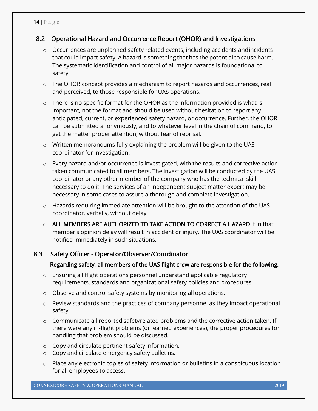## 8.2 Operational Hazard and Occurrence Report (OHOR) and Investigations

- o Occurrences are unplanned safety related events, including accidents andincidents that could impact safety. A hazard is something that has the potential to cause harm. The systematic identification and control of all major hazards is foundational to safety.
- o The OHOR concept provides a mechanism to report hazards and occurrences, real and perceived, to those responsible for UAS operations.
- o There is no specific format for the OHOR as the information provided is what is important, not the format and should be used without hesitation to report any anticipated, current, or experienced safety hazard, or occurrence. Further, the OHOR can be submitted anonymously, and to whatever level in the chain of command, to get the matter proper attention, without fear of reprisal.
- o Written memorandums fully explaining the problem will be given to the UAS coordinator for investigation.
- o Every hazard and/or occurrence is investigated, with the results and corrective action taken communicated to all members. The investigation will be conducted by the UAS coordinator or any other member of the company who has the technical skill necessary to do it. The services of an independent subject matter expert may be necessary in some cases to assure a thorough and complete investigation.
- o Hazards requiring immediate attention will be brought to the attention of the UAS coordinator, verbally, without delay.
- o ALL MEMBERS ARE AUTHORIZED TO TAKE ACTION TO CORRECT A HAZARD if in that member's opinion delay will result in accident or injury. The UAS coordinator will be notified immediately in such situations.

## 8.3 Safety Officer - Operator/Observer/Coordinator

## Regarding safety, all members of the UAS flight crew are responsible for the following:

- $\circ$  Ensuring all flight operations personnel understand applicable regulatory requirements, standards and organizational safety policies and procedures.
- o Observe and control safety systems by monitoring all operations.
- o Review standards and the practices of company personnel as they impact operational safety.
- $\circ$  Communicate all reported safetyrelated problems and the corrective action taken. If there were any in-flight problems (or learned experiences), the proper procedures for handling that problem should be discussed.
- o Copy and circulate pertinent safety information.
- o Copy and circulate emergency safety bulletins.
- o Place any electronic copies of safety information or bulletins in a conspicuous location for all employees to access.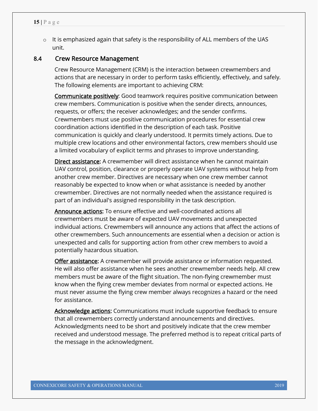o It is emphasized again that safety is the responsibility of ALL members of the UAS unit.

#### 8.4 Crew Resource Management

Crew Resource Management (CRM) is the interaction between crewmembers and actions that are necessary in order to perform tasks efficiently, effectively, and safely. The following elements are important to achieving CRM:

 Communicate positively: Good teamwork requires positive communication between crew members. Communication is positive when the sender directs, announces, requests, or offers; the receiver acknowledges; and the sender confirms. Crewmembers must use positive communication procedures for essential crew coordination actions identified in the description of each task. Positive communication is quickly and clearly understood. It permits timely actions. Due to multiple crew locations and other environmental factors, crew members should use a limited vocabulary of explicit terms and phrases to improve understanding.

Direct assistance: A crewmember will direct assistance when he cannot maintain UAV control, position, clearance or properly operate UAV systems without help from another crew member. Directives are necessary when one crew member cannot reasonably be expected to know when or what assistance is needed by another crewmember. Directives are not normally needed when the assistance required is part of an individual's assigned responsibility in the task description.

Announce actions: To ensure effective and well-coordinated actions all crewmembers must be aware of expected UAV movements and unexpected individual actions. Crewmembers will announce any actions that affect the actions of other crewmembers. Such announcements are essential when a decision or action is unexpected and calls for supporting action from other crew members to avoid a potentially hazardous situation.

Offer assistance: A crewmember will provide assistance or information requested. He will also offer assistance when he sees another crewmember needs help. All crew members must be aware of the flight situation. The non-flying crewmember must know when the flying crew member deviates from normal or expected actions. He must never assume the flying crew member always recognizes a hazard or the need for assistance.

Acknowledge actions: Communications must include supportive feedback to ensure that all crewmembers correctly understand announcements and directives. Acknowledgments need to be short and positively indicate that the crew member received and understood message. The preferred method is to repeat critical parts of the message in the acknowledgment.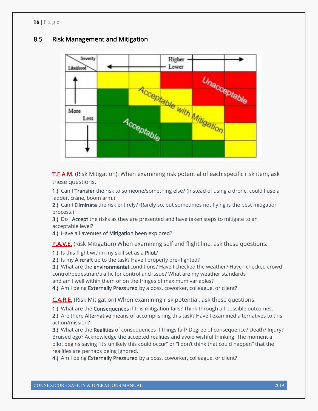## 8.5 Risk Management and Mitigation



**T.E.A.M.** (Risk Mitigation): When examining risk potential of each specific risk item, ask these questions:

1.) Can I Transfer the risk to someone/something else? (Instead of using a drone, could I use a ladder, crane, boom arm.)

2.) Can I Eliminate the risk entirely? (Rarely so, but sometimes not flying is the best mitigation process.)

3.) Do I Accept the risks as they are presented and have taken steps to mitigate to an acceptable level?

4.) Have all avenues of Mitigation been explored?

**P.A.V.E.** (Risk Mitigation) When examining self and flight line, ask these questions:

1.) Is this flight within my skill set as a Pilot?

2.) Is my Aircraft up to the task? Have I properly pre-flighted?

3.) What are the environmental conditions? Have I checked the weather? Have I checked crowd control/pedestrian/traffic for control and issue? What are my weather standards and am I well within them or on the fringes of maximum variables?

4.) Am I being Externally Pressured by a boss, coworker, colleague, or client?

C.A.R.E. (Risk Mitigation) When examining risk potential, ask these questions:

1.) What are the Consequences if this mitigation fails? Think through all possible outcomes.

2.) Are there Alternative means of accomplishing this task? Have I examined alternatives to this action/mission?

3.) What are the Realities of consequences if things fail? Degree of consequence? Death? Injury? Bruised ego? Acknowledge the accepted realities and avoid wishful thinking. The moment a pilot begins saying "it's unlikely this could occur" or "I don't think that could happen" that the realities are perhaps being ignored.

4.) Am I being Externally Pressured by a boss, coworker, colleague, or client?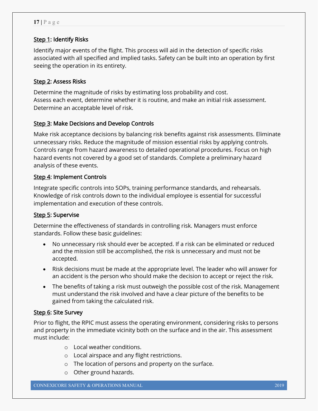## Step 1: Identify Risks

Identify major events of the flight. This process will aid in the detection of specific risks associated with all specified and implied tasks. Safety can be built into an operation by first seeing the operation in its entirety.

## Step 2: Assess Risks

Determine the magnitude of risks by estimating loss probability and cost. Assess each event, determine whether it is routine, and make an initial risk assessment. Determine an acceptable level of risk.

## Step 3: Make Decisions and Develop Controls

Make risk acceptance decisions by balancing risk benefits against risk assessments. Eliminate unnecessary risks. Reduce the magnitude of mission essential risks by applying controls. Controls range from hazard awareness to detailed operational procedures. Focus on high hazard events not covered by a good set of standards. Complete a preliminary hazard analysis of these events.

## Step 4: Implement Controls

Integrate specific controls into SOPs, training performance standards, and rehearsals. Knowledge of risk controls down to the individual employee is essential for successful implementation and execution of these controls.

## Step 5: Supervise

Determine the effectiveness of standards in controlling risk. Managers must enforce standards. Follow these basic guidelines:

- No unnecessary risk should ever be accepted. If a risk can be eliminated or reduced and the mission still be accomplished, the risk is unnecessary and must not be accepted.
- Risk decisions must be made at the appropriate level. The leader who will answer for an accident is the person who should make the decision to accept or reject the risk.
- The benefits of taking a risk must outweigh the possible cost of the risk. Management must understand the risk involved and have a clear picture of the benefits to be gained from taking the calculated risk.

## Step 6: Site Survey

Prior to flight, the RPIC must assess the operating environment, considering risks to persons and property in the immediate vicinity both on the surface and in the air. This assessment must include:

- o Local weather conditions.
- o Local airspace and any flight restrictions.
- o The location of persons and property on the surface.
- o Other ground hazards.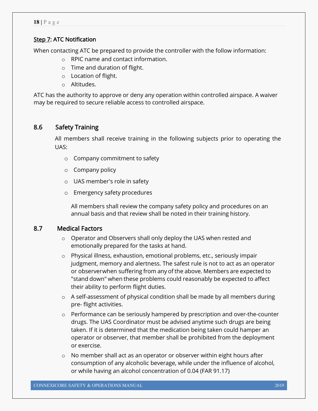#### Step 7: ATC Notification

When contacting ATC be prepared to provide the controller with the follow information:

- o RPIC name and contact information.
- o Time and duration of flight.
- o Location of flight.
- o Altitudes.

ATC has the authority to approve or deny any operation within controlled airspace. A waiver may be required to secure reliable access to controlled airspace.

## 8.6 Safety Training

All members shall receive training in the following subjects prior to operating the UAS:

- o Company commitment to safety
- o Company policy
- o UAS member's role in safety
- o Emergency safety procedures

All members shall review the company safety policy and procedures on an annual basis and that review shall be noted in their training history.

## 8.7 Medical Factors

- o Operator and Observers shall only deploy the UAS when rested and emotionally prepared for the tasks at hand.
- o Physical illness, exhaustion, emotional problems, etc., seriously impair judgment, memory and alertness. The safest rule is not to act as an operator or observerwhen suffering from any of the above. Members are expected to "stand down" when these problems could reasonably be expected to affect their ability to perform flight duties.
- o A self-assessment of physical condition shall be made by all members during pre- flight activities.
- $\circ$  Performance can be seriously hampered by prescription and over-the-counter drugs. The UAS Coordinator must be advised anytime such drugs are being taken. If it is determined that the medication being taken could hamper an operator or observer, that member shall be prohibited from the deployment or exercise.
- o No member shall act as an operator or observer within eight hours after consumption of any alcoholic beverage, while under the influence of alcohol, or while having an alcohol concentration of 0.04 (FAR 91.17)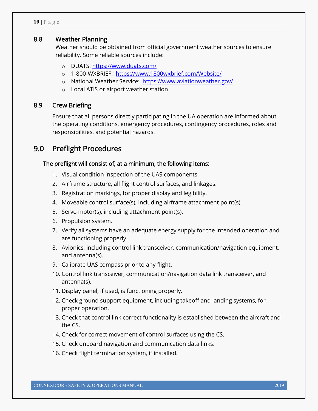## 8.8 Weather Planning

Weather should be obtained from official government weather sources to ensure reliability. Some reliable sources include:

- o DUATS: https://www.duats.com/
- o 1-800-WXBRIEF: https://www.1800wxbrief.com/Website/
- o National Weather Service: https://www.aviationweather.gov/
- o Local ATIS or airport weather station

#### 8.9 Crew Briefing

Ensure that all persons directly participating in the UA operation are informed about the operating conditions, emergency procedures, contingency procedures, roles and responsibilities, and potential hazards.

# 9.0 Preflight Procedures

## The preflight will consist of, at a minimum, the following items:

- 1. Visual condition inspection of the UAS components.
- 2. Airframe structure, all flight control surfaces, and linkages.
- 3. Registration markings, for proper display and legibility.
- 4. Moveable control surface(s), including airframe attachment point(s).
- 5. Servo motor(s), including attachment point(s).
- 6. Propulsion system.
- 7. Verify all systems have an adequate energy supply for the intended operation and are functioning properly.
- 8. Avionics, including control link transceiver, communication/navigation equipment, and antenna(s).
- 9. Calibrate UAS compass prior to any flight.
- 10. Control link transceiver, communication/navigation data link transceiver, and antenna(s).
- 11. Display panel, if used, is functioning properly.
- 12. Check ground support equipment, including takeoff and landing systems, for proper operation.
- 13. Check that control link correct functionality is established between the aircraft and the CS.
- 14. Check for correct movement of control surfaces using the CS.
- 15. Check onboard navigation and communication data links.
- 16. Check flight termination system, if installed.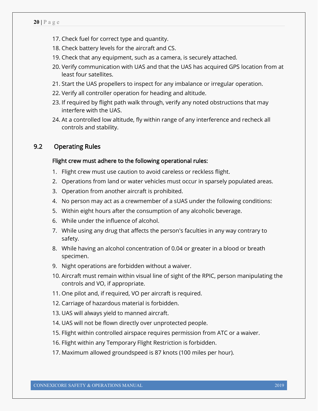- 17. Check fuel for correct type and quantity.
- 18. Check battery levels for the aircraft and CS.
- 19. Check that any equipment, such as a camera, is securely attached.
- 20. Verify communication with UAS and that the UAS has acquired GPS location from at least four satellites.
- 21. Start the UAS propellers to inspect for any imbalance or irregular operation.
- 22. Verify all controller operation for heading and altitude.
- 23. If required by flight path walk through, verify any noted obstructions that may interfere with the UAS.
- 24. At a controlled low altitude, fly within range of any interference and recheck all controls and stability.

## 9.2 Operating Rules

#### Flight crew must adhere to the following operational rules:

- 1. Flight crew must use caution to avoid careless or reckless flight.
- 2. Operations from land or water vehicles must occur in sparsely populated areas.
- 3. Operation from another aircraft is prohibited.
- 4. No person may act as a crewmember of a sUAS under the following conditions:
- 5. Within eight hours after the consumption of any alcoholic beverage.
- 6. While under the influence of alcohol.
- 7. While using any drug that affects the person's faculties in any way contrary to safety.
- 8. While having an alcohol concentration of 0.04 or greater in a blood or breath specimen.
- 9. Night operations are forbidden without a waiver.
- 10. Aircraft must remain within visual line of sight of the RPIC, person manipulating the controls and VO, if appropriate.
- 11. One pilot and, if required, VO per aircraft is required.
- 12. Carriage of hazardous material is forbidden.
- 13. UAS will always yield to manned aircraft.
- 14. UAS will not be flown directly over unprotected people.
- 15. Flight within controlled airspace requires permission from ATC or a waiver.
- 16. Flight within any Temporary Flight Restriction is forbidden.
- 17. Maximum allowed groundspeed is 87 knots (100 miles per hour).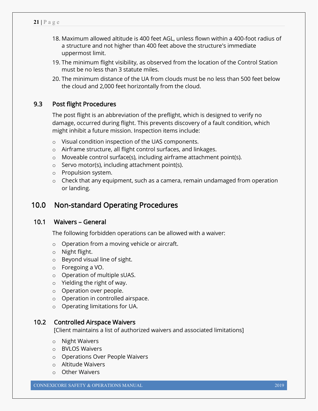- 18. Maximum allowed altitude is 400 feet AGL, unless flown within a 400-foot radius of a structure and not higher than 400 feet above the structure's immediate uppermost limit.
- 19. The minimum flight visibility, as observed from the location of the Control Station must be no less than 3 statute miles.
- 20. The minimum distance of the UA from clouds must be no less than 500 feet below the cloud and 2,000 feet horizontally from the cloud.

## 9.3 Post flight Procedures

The post flight is an abbreviation of the preflight, which is designed to verify no damage, occurred during flight. This prevents discovery of a fault condition, which might inhibit a future mission. Inspection items include:

- o Visual condition inspection of the UAS components.
- o Airframe structure, all flight control surfaces, and linkages.
- o Moveable control surface(s), including airframe attachment point(s).
- o Servo motor(s), including attachment point(s).
- o Propulsion system.
- $\circ$  Check that any equipment, such as a camera, remain undamaged from operation or landing.

## 10.0 Non-standard Operating Procedures

## 10.1 Waivers – General

The following forbidden operations can be allowed with a waiver:

- o Operation from a moving vehicle or aircraft.
- o Night flight.
- o Beyond visual line of sight.
- o Foregoing a VO.
- o Operation of multiple sUAS.
- o Yielding the right of way.
- o Operation over people.
- o Operation in controlled airspace.
- o Operating limitations for UA.

#### 10.2 Controlled Airspace Waivers

[Client maintains a list of authorized waivers and associated limitations]

- o Night Waivers
- o BVLOS Waivers
- o Operations Over People Waivers
- o Altitude Waivers
- o Other Waivers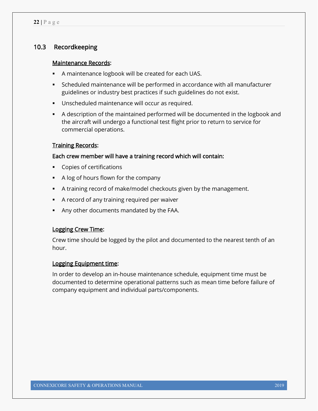## 10.3 Recordkeeping

#### Maintenance Records:

- A maintenance logbook will be created for each UAS.
- Scheduled maintenance will be performed in accordance with all manufacturer guidelines or industry best practices if such guidelines do not exist.
- **Unscheduled maintenance will occur as required.**
- A description of the maintained performed will be documented in the logbook and the aircraft will undergo a functional test flight prior to return to service for commercial operations.

#### Training Records:

#### Each crew member will have a training record which will contain:

- **Copies of certifications**
- A log of hours flown for the company
- A training record of make/model checkouts given by the management.
- A record of any training required per waiver
- Any other documents mandated by the FAA.

#### Logging Crew Time:

Crew time should be logged by the pilot and documented to the nearest tenth of an hour.

#### Logging Equipment time:

In order to develop an in-house maintenance schedule, equipment time must be documented to determine operational patterns such as mean time before failure of company equipment and individual parts/components.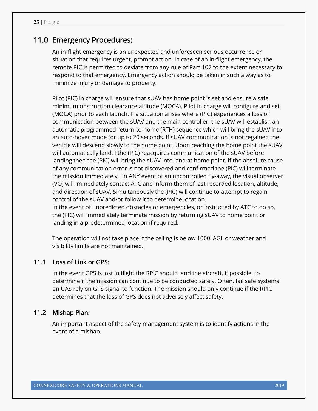# 11.0 Emergency Procedures:

An in-flight emergency is an unexpected and unforeseen serious occurrence or situation that requires urgent, prompt action. In case of an in-flight emergency, the remote PIC is permitted to deviate from any rule of Part 107 to the extent necessary to respond to that emergency. Emergency action should be taken in such a way as to minimize injury or damage to property.

Pilot (PIC) in charge will ensure that sUAV has home point is set and ensure a safe minimum obstruction clearance altitude (MOCA). Pilot in charge will configure and set (MOCA) prior to each launch. If a situation arises where (PIC) experiences a loss of communication between the sUAV and the main controller, the sUAV will establish an automatic programmed return-to-home (RTH) sequence which will bring the sUAV into an auto-hover mode for up to 20 seconds. If sUAV communication is not regained the vehicle will descend slowly to the home point. Upon reaching the home point the sUAV will automatically land. I the (PIC) reacquires communication of the sUAV before landing then the (PIC) will bring the sUAV into land at home point. If the absolute cause of any communication error is not discovered and confirmed the (PIC) will terminate the mission immediately. In ANY event of an uncontrolled fly-away, the visual observer (VO) will immediately contact ATC and inform them of last recorded location, altitude, and direction of sUAV. Simultaneously the (PIC) will continue to attempt to regain control of the sUAV and/or follow it to determine location. In the event of unpredicted obstacles or emergencies, or instructed by ATC to do so, the (PIC) will immediately terminate mission by returning sUAV to home point or landing in a predetermined location if required.

The operation will not take place if the ceiling is below 1000' AGL or weather and visibility limits are not maintained.

## 11.1 Loss of Link or GPS:

In the event GPS is lost in flight the RPIC should land the aircraft, if possible, to determine if the mission can continue to be conducted safely. Often, fail safe systems on UAS rely on GPS signal to function. The mission should only continue if the RPIC determines that the loss of GPS does not adversely affect safety.

## 11.2 Mishap Plan:

An important aspect of the safety management system is to identify actions in the event of a mishap.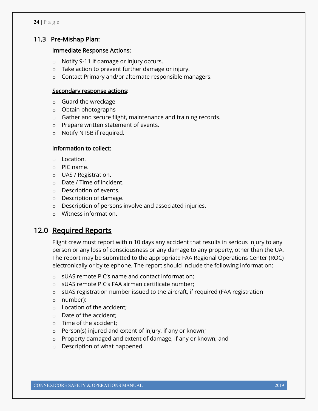## 11.3 Pre-Mishap Plan:

#### Immediate Response Actions:

- o Notify 9-11 if damage or injury occurs.
- o Take action to prevent further damage or injury.
- o Contact Primary and/or alternate responsible managers.

#### Secondary response actions:

- o Guard the wreckage
- o Obtain photographs
- o Gather and secure flight, maintenance and training records.
- o Prepare written statement of events.
- o Notify NTSB if required.

#### Information to collect:

- o Location.
- o PIC name.
- o UAS / Registration.
- o Date / Time of incident.
- o Description of events.
- o Description of damage.
- o Description of persons involve and associated injuries.
- o Witness information.

## 12.0 Required Reports

Flight crew must report within 10 days any accident that results in serious injury to any person or any loss of consciousness or any damage to any property, other than the UA. The report may be submitted to the appropriate FAA Regional Operations Center (ROC) electronically or by telephone. The report should include the following information:

- o sUAS remote PIC's name and contact information;
- o sUAS remote PIC's FAA airman certificate number;
- $\circ$  sUAS registration number issued to the aircraft, if required (FAA registration
- o number);
- o Location of the accident;
- o Date of the accident;
- o Time of the accident;
- o Person(s) injured and extent of injury, if any or known;
- o Property damaged and extent of damage, if any or known; and
- o Description of what happened.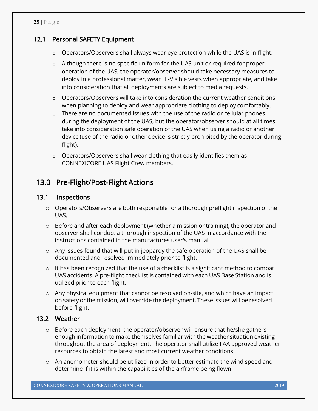## 12.1 Personal SAFETY Equipment

- o Operators/Observers shall always wear eye protection while the UAS is in flight.
- $\circ$  Although there is no specific uniform for the UAS unit or required for proper operation of the UAS, the operator/observer should take necessary measures to deploy in a professional matter, wear Hi-Visible vests when appropriate, and take into consideration that all deployments are subject to media requests.
- $\circ$  Operators/Observers will take into consideration the current weather conditions when planning to deploy and wear appropriate clothing to deploy comfortably.
- o There are no documented issues with the use of the radio or cellular phones during the deployment of the UAS, but the operator/observer should at all times take into consideration safe operation of the UAS when using a radio or another device (use of the radio or other device is strictly prohibited by the operator during flight).
- o Operators/Observers shall wear clothing that easily identifies them as CONNEXICORE UAS Flight Crew members.

# 13.0 Pre-Flight/Post-Flight Actions

## 13.1 Inspections

- o Operators/Observers are both responsible for a thorough preflight inspection of the UAS.
- $\circ$  Before and after each deployment (whether a mission or training), the operator and observer shall conduct a thorough inspection of the UAS in accordance with the instructions contained in the manufactures user's manual.
- o Any issues found that will put in jeopardy the safe operation of the UAS shall be documented and resolved immediately prior to flight.
- o It has been recognized that the use of a checklist is a significant method to combat UAS accidents. A pre-flight checklist is contained with each UAS Base Station and is utilized prior to each flight.
- $\circ$  Any physical equipment that cannot be resolved on-site, and which have an impact on safety or the mission, will override the deployment. These issues will be resolved before flight.

#### 13.2 Weather

- $\circ$  Before each deployment, the operator/observer will ensure that he/she gathers enough information to make themselves familiar with the weather situation existing throughout the area of deployment. The operator shall utilize FAA approved weather resources to obtain the latest and most current weather conditions.
- $\circ$  An anemometer should be utilized in order to better estimate the wind speed and determine if it is within the capabilities of the airframe being flown.